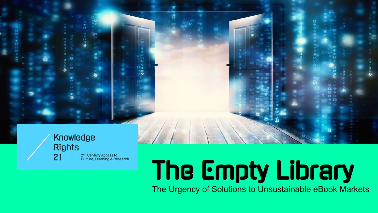#### Knowledge **Rights** 21<sup>st</sup> Century Access to 21 **Culture, Learning & Research**



## The Empty Library

The Urgency of Solutions to Unsustainable eBook Markets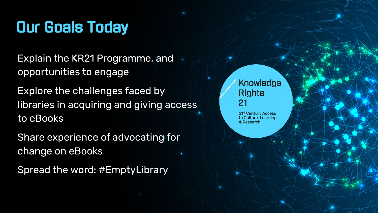#### Our Goals Today

Explain the KR21 Programme, and opportunities to engage

Explore the challenges faced by libraries in acquiring and giving access to eBooks

Share experience of advocating for change on eBooks

Spread the word: #EmptyLibrary

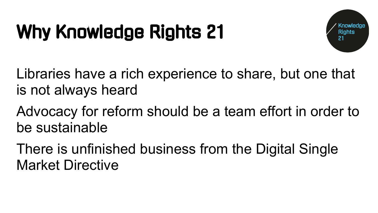#### Why Knowledge Rights 21



Libraries have a rich experience to share, but one that is not always heard

Advocacy for reform should be a team effort in order to be sustainable

There is unfinished business from the Digital Single Market Directive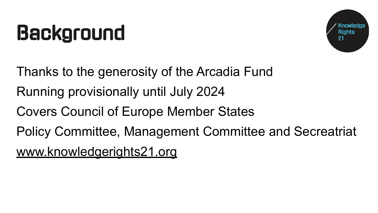### Background



Thanks to the generosity of the Arcadia Fund Running provisionally until July 2024 Covers Council of Europe Member States

Policy Committee, Management Committee and Secreatriat [www.knowledgerights21.org](http://www.knowledgerights21.org/)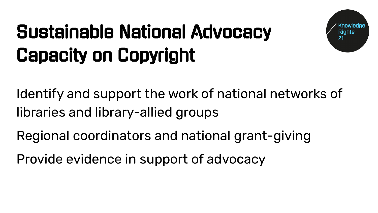#### Sustainable National Advocacy Capacity on Copyright

Identify and support the work of national networks of libraries and library-allied groups

Regional coordinators and national grant-giving

Provide evidence in support of advocacy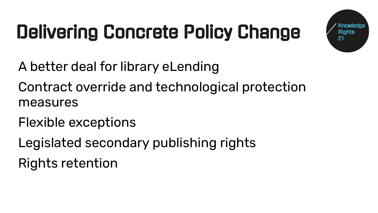### Delivering Concrete Policy Change



- A better deal for library eLending
- Contract override and technological protection measures
- Flexible exceptions
- Legislated secondary publishing rights Rights retention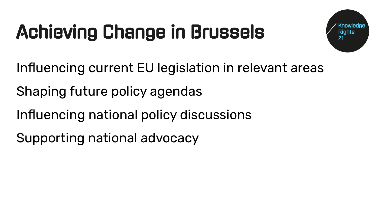#### Achieving Change in Brussels



Influencing current EU legislation in relevant areas

Shaping future policy agendas

Influencing national policy discussions

Supporting national advocacy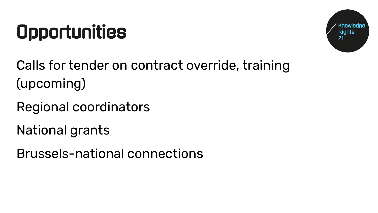#### **Opportunities**



Calls for tender on contract override, training (upcoming)

Regional coordinators

National grants

Brussels-national connections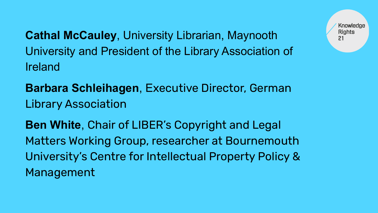**Cathal McCauley**, University Librarian, Maynooth University and President of the Library Association of Ireland

**Barbara Schleihagen**, Executive Director, German Library Association

**Ben White**, Chair of LIBER's Copyright and Legal Matters Working Group, researcher at Bournemouth University's Centre for Intellectual Property Policy & Management

Knowledge **Rights**  $21$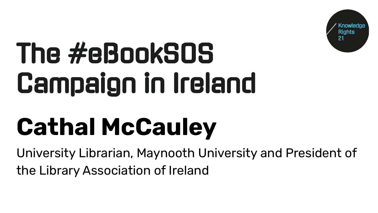

# The #eBookSOS Campaign in Ireland

## **Cathal McCauley**

University Librarian, Maynooth University and President of the Library Association of Ireland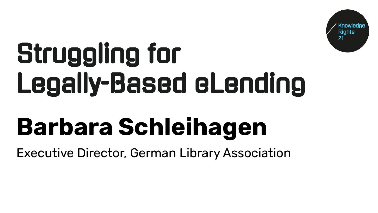

# Struggling for Legally-Based eLending

## **Barbara Schleihagen**

Executive Director, German Library Association